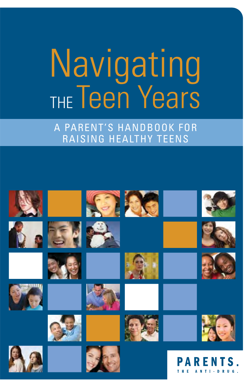# **Navigating** THE Teen Years

A Parent's Handbook for RAISING HEALTHY TEENS

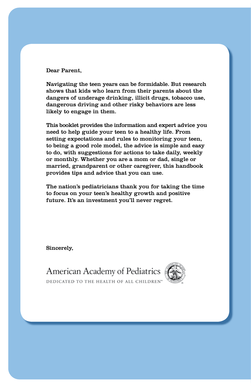Dear Parent,

Navigating the teen years can be formidable. But research shows that kids who learn from their parents about the dangers of underage drinking, illicit drugs, tobacco use, dangerous driving and other risky behaviors are less likely to engage in them.

This booklet provides the information and expert advice you need to help guide your teen to a healthy life. From setting expectations and rules to monitoring your teen, to being a good role model, the advice is simple and easy to do, with suggestions for actions to take daily, weekly or monthly. Whether you are a mom or dad, single or married, grandparent or other caregiver, this handbook provides tips and advice that you can use.

The nation's pediatricians thank you for taking the time to focus on your teen's healthy growth and positive future. It's an investment you'll never regret.

Sincerely,

American Academy of Pediatrics



DEDICATED TO THE HEALTH OF ALL CHILDREN®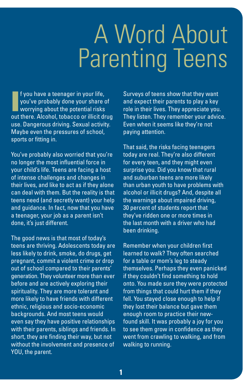## A Word About Parenting Teens

I f you have a teenager in your life,<br>you've probably done your share of<br>worrying about the potential risks<br>out there. Alcohol, tobacco or illicit drug f you have a teenager in your life, you've probably done your share of worrying about the potential risks use. Dangerous driving. Sexual activity. Maybe even the pressures of school, sports or fitting in.

You've probably also worried that you're no longer the most influential force in your child's life. Teens are facing a host of intense challenges and changes in their lives, and like to act as if they alone can deal with them. But the reality is that teens need (and secretly want) your help and guidance. In fact, now that you have a teenager, your job as a parent isn't done, it's just different.

The good news is that most of today's teens are thriving. Adolescents today are less likely to drink, smoke, do drugs, get pregnant, commit a violent crime or drop out of school compared to their parents' generation. They volunteer more than ever before and are actively exploring their spirituality. They are more tolerant and more likely to have friends with different ethnic, religious and socio-economic backgrounds. And most teens would even say they have positive relationships with their parents, siblings and friends. In short, they are finding their way, but not without the involvement and presence of YOU, the parent.

Surveys of teens show that they want and expect their parents to play a key role in their lives. They appreciate you. They listen. They remember your advice. Even when it seems like they're not paying attention.

That said, the risks facing teenagers today are real. They're also different for every teen, and they might even surprise you. Did you know that rural and suburban teens are more likely than urban youth to have problems with alcohol or illicit drugs? And, despite all the warnings about impaired driving, 30 percent of students report that they've ridden one or more times in the last month with a driver who had been drinking.

Remember when your children first learned to walk? They often searched for a table or mom's leg to steady themselves. Perhaps they even panicked if they couldn't find something to hold onto. You made sure they were protected from things that could hurt them if they fell. You stayed close enough to help if they lost their balance but gave them enough room to practice their newfound skill. It was probably a joy for you to see them grow in confidence as they went from crawling to walking, and from walking to running.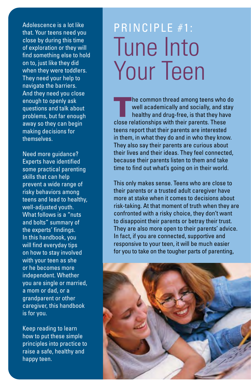Adolescence is a lot like that. Your teens need you close by during this time of exploration or they will find something else to hold on to, just like they did when they were toddlers. They need your help to navigate the barriers. And they need you close enough to openly ask questions and talk about problems, but far enough away so they can begin making decisions for **themselves** 

Need more guidance? Experts have identified some practical parenting skills that can help prevent a wide range of risky behaviors among teens and lead to healthy, well-adjusted youth. What follows is a "nuts" and bolts" summary of the experts' findings. In this handbook, you will find everyday tips on how to stay involved with your teen as she or he becomes more independent. Whether you are single or married, a mom or dad, or a grandparent or other caregiver, this handbook is for you.

Keep reading to learn how to put these simple principles into practice to raise a safe, healthy and happy teen.

### Principle #1: Tune Into Your Teen

The common thread among teens who do<br>well academically and socially, and stay<br>healthy and drug-free, is that they have well academically and socially, and stay healthy and drug-free, is that they have close relationships with their parents. These teens report that their parents are interested in them, in what they do and in who they know. They also say their parents are curious about their lives and their ideas. They feel connected, because their parents listen to them and take time to find out what's going on in their world.

This only makes sense. Teens who are close to their parents or a trusted adult caregiver have more at stake when it comes to decisions about risk-taking. At that moment of truth when they are confronted with a risky choice, they don't want to disappoint their parents or betray their trust. They are also more open to their parents' advice. In fact, if you are connected, supportive and responsive to your teen, it will be much easier for you to take on the tougher parts of parenting,

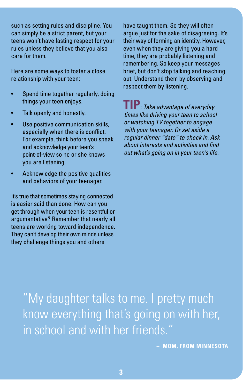such as setting rules and discipline. You can simply be a strict parent, but your teens won't have lasting respect for your rules unless they believe that you also care for them.

Here are some ways to foster a close relationship with your teen:

- Spend time together regularly, doing things your teen enjoys.
- Talk openly and honestly.
- Use positive communication skills, especially when there is conflict. For example, think before you speak and acknowledge your teen's point-of-view so he or she knows you are listening.
- Acknowledge the positive qualities and behaviors of your teenager.

It's true that sometimes staying connected is easier said than done. How can you get through when your teen is resentful or argumentative? Remember that nearly all teens are working toward independence. They can't develop their own minds unless they challenge things you and others

have taught them. So they will often argue just for the sake of disagreeing. It's their way of forming an identity. However, even when they are giving you a hard time, they are probably listening and remembering. So keep your messages brief, but don't stop talking and reaching out. Understand them by observing and respect them by listening.

**TIP**: *Take advantage of everyday times like driving your teen to school or watching TV together to engage with your teenager. Or set aside a regular dinner "date" to check in. Ask about interests and activities and find out what's going on in your teen's life.*

"My daughter talks to me. I pretty much know everything that's going on with her, in school and with her friends."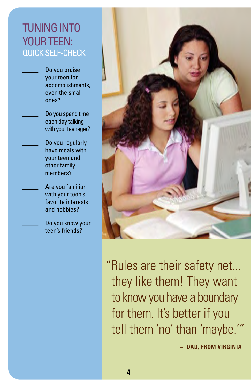### Tuning Into **YOUR TEEN:** Quick Self-Check

- Do you praise your teen for accomplishments, even the small ones?
- Do you spend time each day talking with your teenager?

Do you regularly have meals with your teen and other family members?

Are you familiar with your teen's favorite interests and hobbies?

Do you know your teen's friends?



"Rules are their safety net... they like them! They want to know you have a boundary for them. It's better if you tell them 'no' than 'maybe.'"

**– Dad, From Virginia**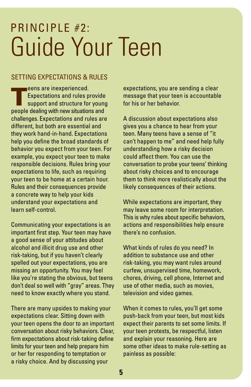### Principle #2: Guide Your Teen

#### Setting Expectations & Rules

Expectations and rules provide<br>
Support and structure for young<br>
Support and structure for young Expectations and rules provide people dealing with new situations and challenges. Expectations and rules are different, but both are essential and they work hand-in-hand. Expectations help you define the broad standards of behavior you expect from your teen. For example, you expect your teen to make responsible decisions. Rules bring your expectations to life, such as requiring your teen to be home at a certain hour. Rules and their consequences provide a concrete way to help your kids understand your expectations and learn self-control.

Communicating your expectations is an important first step. Your teen may have a good sense of your attitudes about alcohol and illicit drug use and other risk-taking, but if you haven't clearly spelled out your expectations, you are missing an opportunity. You may feel like you're stating the obvious, but teens don't deal so well with "gray" areas. They need to know exactly where you stand.

There are many upsides to making your expectations clear. Sitting down with your teen opens the door to an important conversation about risky behaviors. Clear, firm expectations about risk-taking define limits for your teen and help prepare him or her for responding to temptation or a risky choice. And by discussing your

expectations, you are sending a clear message that your teen is accountable for his or her behavior.

A discussion about expectations also gives you a chance to hear from your teen. Many teens have a sense of "it can't happen to me" and need help fully understanding how a risky decision could affect them. You can use the conversation to probe your teens' thinking about risky choices and to encourage them to think more realistically about the likely consequences of their actions.

While expectations are important, they may leave some room for interpretation. This is why rules about specific behaviors, actions and responsibilities help ensure there's no confusion.

What kinds of rules do you need? In addition to substance use and other risk-taking, you may want rules around curfew, unsupervised time, homework, chores, driving, cell phone, Internet and use of other media, such as movies, television and video games.

When it comes to rules, you'll get some push-back from your teen, but most kids expect their parents to set some limits. If your teen protests, be respectful, listen and explain your reasoning. Here are some other ideas to make rule-setting as painless as possible: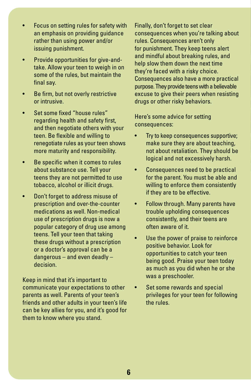- Focus on setting rules for safety with an emphasis on providing guidance rather than using power and/or issuing punishment.
- Provide opportunities for give-andtake. Allow your teen to weigh in on some of the rules, but maintain the final say.
- Be firm, but not overly restrictive or intrusive.
- Set some fixed "house rules" regarding health and safety first, and then negotiate others with your teen. Be flexible and willing to renegotiate rules as your teen shows more maturity and responsibility.
- Be specific when it comes to rules about substance use. Tell your teens they are not permitted to use tobacco, alcohol or illicit drugs.
- Don't forget to address misuse of prescription and over-the-counter medications as well. Non-medical use of prescription drugs is now a popular category of drug use among teens. Tell your teen that taking these drugs without a prescription or a doctor's approval can be a dangerous – and even deadly – decision.

Keep in mind that it's important to communicate your expectations to other parents as well. Parents of your teen's friends and other adults in your teen's life can be key allies for you, and it's good for them to know where you stand.

Finally, don't forget to set clear consequences when you're talking about rules. Consequences aren't only for punishment. They keep teens alert and mindful about breaking rules, and help slow them down the next time they're faced with a risky choice. Consequences also have a more practical purpose. They provide teens with a believable excuse to give their peers when resisting drugs or other risky behaviors.

Here's some advice for setting consequences:

- Try to keep consequences supportive; make sure they are about teaching, not about retaliation. They should be logical and not excessively harsh.
- Consequences need to be practical for the parent. You must be able and willing to enforce them consistently if they are to be effective.
- Follow through. Many parents have trouble upholding consequences consistently, and their teens are often aware of it.
- Use the power of praise to reinforce positive behavior. Look for opportunities to catch your teen being good. Praise your teen today as much as you did when he or she was a preschooler.
- Set some rewards and special privileges for your teen for following the rules.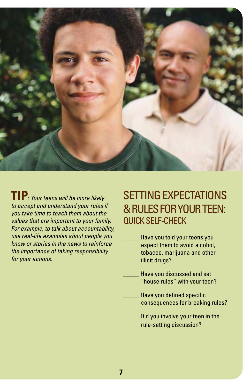

**TIP**: *Your teens will be more likely to accept and understand your rules if you take time to teach them about the values that are important to your family. For example, to talk about accountability, use real-life examples about people you know or stories in the news to reinforce the importance of taking responsibility for your actions.*

### SETTING EXPECTATIONS & Rules for Your Teen: Quick Self-Check

- Have you told your teens you expect them to avoid alcohol, tobacco, marijuana and other illicit drugs?
- Have you discussed and set "house rules" with your teen?
- Have you defined specific consequences for breaking rules?
- Did you involve your teen in the rule-setting discussion?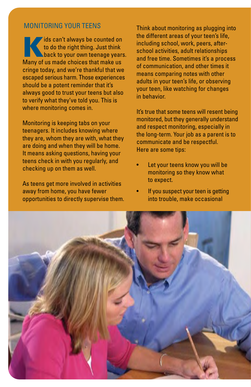#### MONITORING YOUR TEENS

Ids can't always be counted on<br>to do the right thing. Just think<br>back to your own teenage years to do the right thing. Just think **Solution back to your own teenage years.** Many of us made choices that make us cringe today, and we're thankful that we escaped serious harm. Those experiences should be a potent reminder that it's always good to trust your teens but also to verify what they've told you. This is where monitoring comes in.

Monitoring is keeping tabs on your teenagers. It includes knowing where they are, whom they are with, what they are doing and when they will be home. It means asking questions, having your teens check in with you regularly, and checking up on them as well.

As teens get more involved in activities away from home, you have fewer opportunities to directly supervise them. Think about monitoring as plugging into the different areas of your teen's life, including school, work, peers, afterschool activities, adult relationships and free time. Sometimes it's a process of communication, and other times it means comparing notes with other adults in your teen's life, or observing your teen, like watching for changes in behavior.

It's true that some teens will resent being monitored, but they generally understand and respect monitoring, especially in the long-term. Your job as a parent is to communicate and be respectful. Here are some tips:

- Let your teens know you will be monitoring so they know what to expect.
- If you suspect your teen is getting into trouble, make occasional

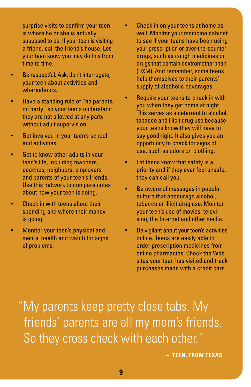surprise visits to confirm your teen is where he or she is actually supposed to be. If your teen is visiting a friend, call the friend's house. Let your teen know you may do this from time to time.

- Be respectful. Ask, don't interrogate, your teen about activities and whereabouts.
- Have a standing rule of "no parents, no party" so your teens understand they are not allowed at any party without adult supervision.
- Get involved in your teen's school and activities.
- Get to know other adults in your teen's life, including teachers, coaches, neighbors, employers and parents of your teen's friends. Use this network to compare notes about how your teen is doing.
- Check in with teens about their spending and where their money is going.
- Monitor your teen's physical and mental health and watch for signs of problems.
- Check in on your teens at home as well. Monitor your medicine cabinet to see if your teens have been using your prescription or over-the-counter drugs, such as cough medicines or drugs that contain dextromethorphan (DXM). And remember, some teens help themselves to their parents' supply of alcoholic beverages.
- Require your teens to check in with you when they get home at night. This serves as a deterrent to alcohol, tobacco and illicit drug use because your teens know they will have to say goodnight. It also gives you an opportunity to check for signs of use, such as odors on clothing.
- Let teens know that safety is a priority and if they ever feel unsafe, they can call you.
- Be aware of messages in popular culture that encourage alcohol, tobacco or illicit drug use. Monitor your teen's use of movies, television, the Internet and other media.
- Be vigilant about your teen's activities online. Teens are easily able to order prescription medicines from online pharmacies. Check the Web sites your teen has visited and track purchases made with a credit card.

"My parents keep pretty close tabs. My friends' parents are all my mom's friends. So they cross check with each other."

**– Teen, From Texas**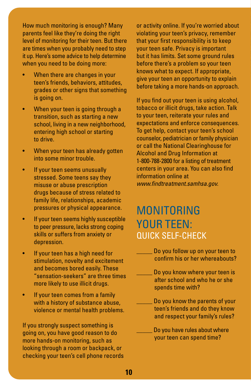How much monitoring is enough? Many parents feel like they're doing the right level of monitoring for their teen. But there are times when you probably need to step it up. Here's some advice to help determine when you need to be doing more:

- When there are changes in your teen's friends, behaviors, attitudes, grades or other signs that something is going on.
- When your teen is going through a transition, such as starting a new school, living in a new neighborhood, entering high school or starting to drive.
- When your teen has already gotten into some minor trouble.
- If your teen seems unusually stressed. Some teens say they misuse or abuse prescription drugs because of stress related to family life, relationships, academic pressures or physical appearance.
- If your teen seems highly susceptible to peer pressure, lacks strong coping skills or suffers from anxiety or depression.
- If your teen has a high need for stimulation, novelty and excitement and becomes bored easily. These "sensation-seekers" are three times more likely to use illicit drugs.
- If your teen comes from a family with a history of substance abuse, violence or mental health problems.

If you strongly suspect something is going on, you have good reason to do more hands-on monitoring, such as looking through a room or backpack, or checking your teen's cell phone records or activity online. If you're worried about violating your teen's privacy, remember that your first responsibility is to keep your teen safe. Privacy is important but it has limits. Set some ground rules before there's a problem so your teen knows what to expect. If appropriate, give your teen an opportunity to explain before taking a more hands-on approach.

If you find out your teen is using alcohol, tobacco or illicit drugs, take action. Talk to your teen, reiterate your rules and expectations and enforce consequences. To get help, contact your teen's school counselor, pediatrician or family physician or call the National Clearinghouse for Alcohol and Drug Information at 1-800-788-2800 for a listing of treatment centers in your area. You can also find information online at *www.findtreatment.samhsa.gov.*

### **MONITORING** YOUR TEEN: Quick Self-Check

- Do you follow up on your teen to confirm his or her whereabouts?
- Do you know where your teen is after school and who he or she spends time with?
- Do you know the parents of your teen's friends and do they know and respect your family's rules?
- Do you have rules about where your teen can spend time?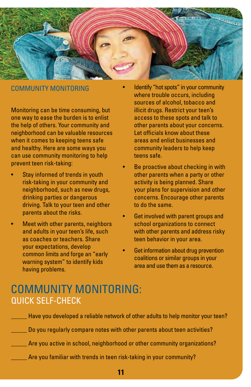

#### Community Monitoring

Monitoring can be time consuming, but one way to ease the burden is to enlist the help of others. Your community and neighborhood can be valuable resources when it comes to keeping teens safe and healthy. Here are some ways you can use community monitoring to help prevent teen risk-taking:

- Stay informed of trends in youth risk-taking in your community and neighborhood, such as new drugs, drinking parties or dangerous driving. Talk to your teen and other parents about the risks.
- Meet with other parents, neighbors and adults in your teen's life, such as coaches or teachers. Share your expectations, develop common limits and forge an "early warning system" to identify kids having problems.
- Identify "hot spots" in your community where trouble occurs, including sources of alcohol, tobacco and illicit drugs. Restrict your teen's access to these spots and talk to other parents about your concerns. Let officials know about these areas and enlist businesses and community leaders to help keep teens safe.
- Be proactive about checking in with other parents when a party or other activity is being planned. Share your plans for supervision and other concerns. Encourage other parents to do the same.
- Get involved with parent groups and school organizations to connect with other parents and address risky teen behavior in your area.
- Get information about drug prevention coalitions or similar groups in your area and use them as a resource.

### Community Monitoring: Quick Self-Check

Have you developed a reliable network of other adults to help monitor your teen?

Do you regularly compare notes with other parents about teen activities?

Are you active in school, neighborhood or other community organizations?

Are you familiar with trends in teen risk-taking in your community?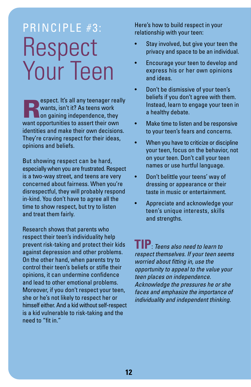### Principle #3: Respect Your Teen

**Respect.** It's all any teenager really<br>wants, isn't it? As teens work<br>on gaining independence, they wants, isn't it? As teens work on gaining independence, they want opportunities to assert their own identities and make their own decisions. They're craving respect for their ideas, opinions and beliefs.

But showing respect can be hard, especially when you are frustrated. Respect is a two-way street, and teens are very concerned about fairness. When you're disrespectful, they will probably respond in-kind. You don't have to agree all the time to show respect, but try to listen and treat them fairly.

Research shows that parents who respect their teen's individuality help prevent risk-taking and protect their kids against depression and other problems. On the other hand, when parents try to control their teen's beliefs or stifle their opinions, it can undermine confidence and lead to other emotional problems. Moreover, if you don't respect your teen, she or he's not likely to respect her or himself either. And a kid without self-respect is a kid vulnerable to risk-taking and the need to "fit in."

Here's how to build respect in your relationship with your teen:

- Stay involved, but give your teen the privacy and space to be an individual.
- Encourage your teen to develop and express his or her own opinions and ideas.
- Don't be dismissive of your teen's beliefs if you don't agree with them. Instead, learn to engage your teen in a healthy debate.
- Make time to listen and be responsive to your teen's fears and concerns.
- When you have to criticize or discipline your teen, focus on the behavior, not on your teen. Don't call your teen names or use hurtful language.
- Don't belittle your teens' way of dressing or appearance or their taste in music or entertainment.
- Appreciate and acknowledge your teen's unique interests, skills and strengths.

**TIP**: *Teens also need to learn to respect themselves. If your teen seems worried about fitting in, use the opportunity to appeal to the value your teen places on independence. Acknowledge the pressures he or she faces and emphasize the importance of individuality and independent thinking.*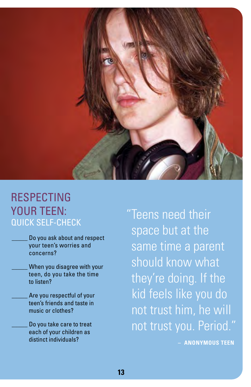

### **RESPECTING** YOUR TEEN: Quick Self-Check

- Do you ask about and respect your teen's worries and concerns?
- When you disagree with your teen, do you take the time to listen?
	- Are you respectful of your teen's friends and taste in music or clothes?
- Do you take care to treat each of your children as distinct individuals?

"Teens need their space but at the same time a parent should know what they're doing. If the kid feels like you do not trust him, he will not trust you. Period."

**– ANONYmous Teen**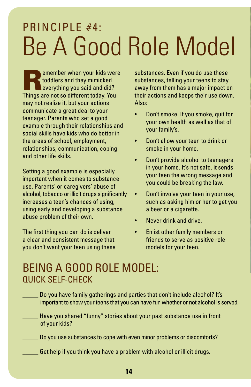### Principle #4: Be A Good Role Model

**Remember when your kids were**<br>toddlers and they mimicked<br>Things are not as different today. You toddlers and they mimicked everything you said and did? Things are not so different today. You may not realize it, but your actions communicate a great deal to your teenager. Parents who set a good example through their relationships and social skills have kids who do better in the areas of school, employment, relationships, communication, coping and other life skills.

Setting a good example is especially important when it comes to substance use. Parents' or caregivers' abuse of alcohol, tobacco or illicit drugs significantly increases a teen's chances of using, using early and developing a substance abuse problem of their own.

The first thing you can do is deliver a clear and consistent message that you don't want your teen using these substances. Even if you do use these substances, telling your teens to stay away from them has a major impact on their actions and keeps their use down. Also:

- Don't smoke. If you smoke, quit for your own health as well as that of your family's.
- Don't allow your teen to drink or smoke in your home.
- Don't provide alcohol to teenagers in your home. It's not safe, it sends your teen the wrong message and you could be breaking the law.
- Don't involve your teen in your use, such as asking him or her to get you a beer or a cigarette.
- Never drink and drive.
- Enlist other family members or friends to serve as positive role models for your teen.

### Being a Good Role Model: Quick Self-Check

Do you have family gatherings and parties that don't include alcohol? It's important to show your teens that you can have fun whether or not alcohol is served.

Have you shared "funny" stories about your past substance use in front of your kids?

\_\_\_\_\_ Do you use substances to cope with even minor problems or discomforts?

Get help if you think you have a problem with alcohol or illicit drugs.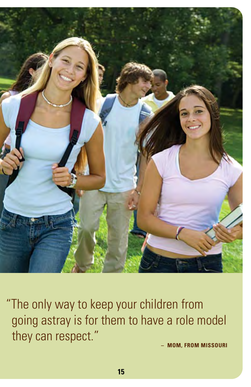

"The only way to keep your children from going astray is for them to have a role model they can respect."

**OM, FROM MISSOURI**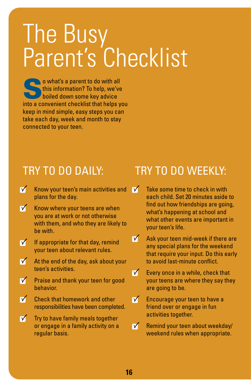### The Busy Parent's Checklist

so what's a parent to do with all this information? To help, we've boiled down some key advice into a convenient checklist that helps you keep in mind simple, easy steps you can take each day, week and month to stay connected to your teen.

### Try To Do Daily:

- $\sqrt{\phantom{a}}$  Know your teen's main activities and plans for the day.
- $\overrightarrow{v}$  Know where your teens are when you are at work or not otherwise with them, and who they are likely to be with.
- $\sqrt{\phantom{a}}$  If appropriate for that day, remind your teen about relevant rules.
- $\sqrt{\phantom{a}}$  At the end of the day, ask about your teen's activities.
- $\sqrt{\phantom{a}}$  Praise and thank your teen for good behavior.
- $\sqrt{\phantom{a}}$  Check that homework and other responsibilities have been completed.
- $\sqrt{\phantom{a}}$  Try to have family meals together or engage in a family activity on a regular basis.

### TRY TO DO WEEKLY:

- $\sqrt{\phantom{a}}$  Take some time to check in with each child. Set 20 minutes aside to find out how friendships are going, what's happening at school and what other events are important in your teen's life.
- $\overrightarrow{V}$  Ask your teen mid-week if there are any special plans for the weekend that require your input. Do this early to avoid last-minute conflict.
- $\sqrt{\phantom{a}}$  Every once in a while, check that your teens are where they say they are going to be.
- $\sqrt{\phantom{a}}$  Encourage your teen to have a friend over or engage in fun activities together.
- $\sqrt{\phantom{a}}$  Remind your teen about weekday/ weekend rules when appropriate.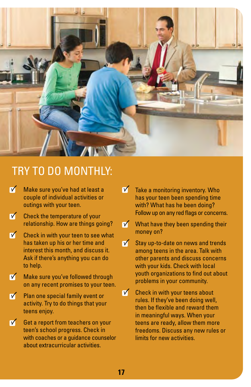

### Try To Do Monthly:

- $\sqrt{\phantom{a}}$  Make sure you've had at least a couple of individual activities or outings with your teen.
- $\sqrt{\phantom{a}}$  Check the temperature of your relationship. How are things going?
- $\sqrt{\phantom{a}}$  Check in with your teen to see what has taken up his or her time and interest this month, and discuss it. Ask if there's anything you can do to help.
- $\sqrt{\phantom{a}}$  Make sure you've followed through on any recent promises to your teen.
- $\sqrt{\phantom{a}}$  Plan one special family event or activity. Try to do things that your teens enjoy.
- $\sqrt{\phantom{a}}$  Get a report from teachers on your teen's school progress. Check in with coaches or a guidance counselor about extracurricular activities.

 $\sqrt{ }$  Take a monitoring inventory. Who has your teen been spending time with? What has he been doing? Follow up on any red flags or concerns.

 $\overrightarrow{V}$  What have they been spending their money on?

- $\sqrt{\phantom{a}}$  Stay up-to-date on news and trends among teens in the area. Talk with other parents and discuss concerns with your kids. Check with local youth organizations to find out about problems in your community.
- $\sqrt{\phantom{a}}$  Check in with your teens about rules. If they've been doing well, then be flexible and reward them in meaningful ways. When your teens are ready, allow them more freedoms. Discuss any new rules or limits for new activities.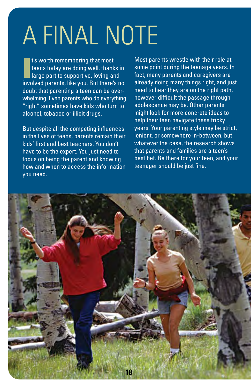## A FINAL NOTE

I's worth remembering that most<br>teens today are doing well, thanks in<br>large part to supportive, loving and<br>involved parents, like you. But there's no t's worth remembering that most teens today are doing well, thanks in large part to supportive, loving and doubt that parenting a teen can be overwhelming. Even parents who do everything "right" sometimes have kids who turn to alcohol, tobacco or illicit drugs.

But despite all the competing influences in the lives of teens, parents remain their kids' first and best teachers. You don't have to be the expert. You just need to focus on being the parent and knowing how and when to access the information you need.

Most parents wrestle with their role at some point during the teenage years. In fact, many parents and caregivers are already doing many things right, and just need to hear they are on the right path, however difficult the passage through adolescence may be. Other parents might look for more concrete ideas to help their teen navigate these tricky years. Your parenting style may be strict, lenient, or somewhere in-between, but whatever the case, the research shows that parents and families are a teen's best bet. Be there for your teen, and your teenager should be just fine.

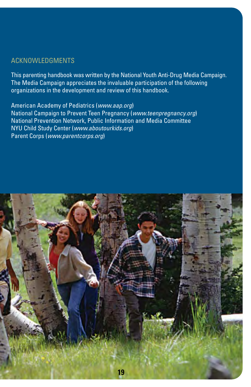#### ACKNOWLEDGMENTS

This parenting handbook was written by the National Youth Anti-Drug Media Campaign. The Media Campaign appreciates the invaluable participation of the following organizations in the development and review of this handbook.

American Academy of Pediatrics (*www.aap.org*) National Campaign to Prevent Teen Pregnancy (*www.teenpregnancy.org*) National Prevention Network, Public Information and Media Committee NYU Child Study Center (*www.aboutourkids.org*) Parent Corps (*www.parentcorps.org*)

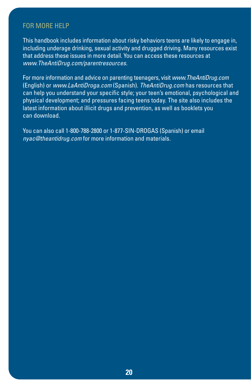FOR MORE HELP<br>This handbook includes information about risky behaviors teens are likely to engage in, including underage drinking, sexual activity and drugged driving. Many resources exist that address these issues in more detail. You can access these resources at *www.TheAntiDrug.com/parentresources.*

For more information and advice on parenting teenagers, visit *www.TheAntiDrug.com* (English) or *www.LaAntiDroga.com* (Spanish). *TheAntiDrug.com* has resources that can help you understand your specific style; your teen's emotional, psychological and physical development; and pressures facing teens today. The site also includes the latest information about illicit drugs and prevention, as well as booklets you can download.

You can also call 1-800-788-2800 or 1-877-SIN-DROGAS (Spanish) or email *nyac@theantidrug.com* for more information and materials.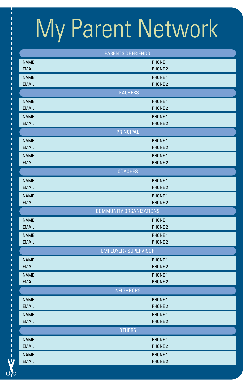## My Parent Network

| <b>PARENTS OF FRIENDS</b>      |                                          |
|--------------------------------|------------------------------------------|
| <b>NAME</b>                    | PHONE <sub>1</sub>                       |
| <b>EMAIL</b>                   | PHONE <sub>2</sub>                       |
| <b>NAME</b>                    | PHONE 1                                  |
| <b>EMAIL</b>                   | PHONE <sub>2</sub>                       |
| <b>TEACHERS</b>                |                                          |
| <b>NAME</b>                    | PHONE <sub>1</sub>                       |
| <b>EMAIL</b>                   | PHONE <sub>2</sub>                       |
| <b>NAME</b><br><b>EMAIL</b>    | PHONE <sub>1</sub><br>PHONE <sub>2</sub> |
| PRINCIPAL                      |                                          |
| <b>NAME</b>                    | PHONE <sub>1</sub>                       |
| <b>EMAIL</b>                   | PHONE <sub>2</sub>                       |
| <b>NAME</b>                    | PHONE <sub>1</sub>                       |
| <b>EMAIL</b>                   | PHONE <sub>2</sub>                       |
| <b>COACHES</b>                 |                                          |
| <b>NAME</b>                    | PHONE 1                                  |
| <b>EMAIL</b>                   | PHONE <sub>2</sub>                       |
| <b>NAME</b>                    | PHONE <sub>1</sub>                       |
| <b>EMAIL</b>                   | PHONE <sub>2</sub>                       |
| <b>COMMUNITY ORGANIZATIONS</b> |                                          |
| <b>NAME</b><br><b>EMAIL</b>    | PHONE <sub>1</sub><br>PHONE <sub>2</sub> |
| <b>NAME</b>                    |                                          |
| <b>EMAIL</b>                   | PHONE <sub>1</sub><br>PHONE <sub>2</sub> |
| <b>EMPLOYER / SUPERVISOR</b>   |                                          |
| <b>NAME</b>                    | PHONE <sub>1</sub>                       |
| <b>EMAIL</b>                   | PHONE <sub>2</sub>                       |
| <b>NAME</b>                    | PHONE <sub>1</sub>                       |
| <b>EMAIL</b>                   | PHONE <sub>2</sub>                       |
| <b>NEIGHBORS</b>               |                                          |
| <b>NAME</b>                    | PHONE 1                                  |
| <b>EMAIL</b>                   | PHONE <sub>2</sub>                       |
| <b>NAME</b>                    | PHONE 1                                  |
| <b>EMAIL</b>                   | PHONE <sub>2</sub>                       |
| <b>OTHERS</b>                  |                                          |
| <b>NAME</b>                    | PHONE <sub>1</sub>                       |
| <b>EMAIL</b>                   | PHONE <sub>2</sub>                       |
| <b>NAME</b><br><b>EMAIL</b>    | PHONE <sub>1</sub><br>PHONE <sub>2</sub> |
|                                |                                          |